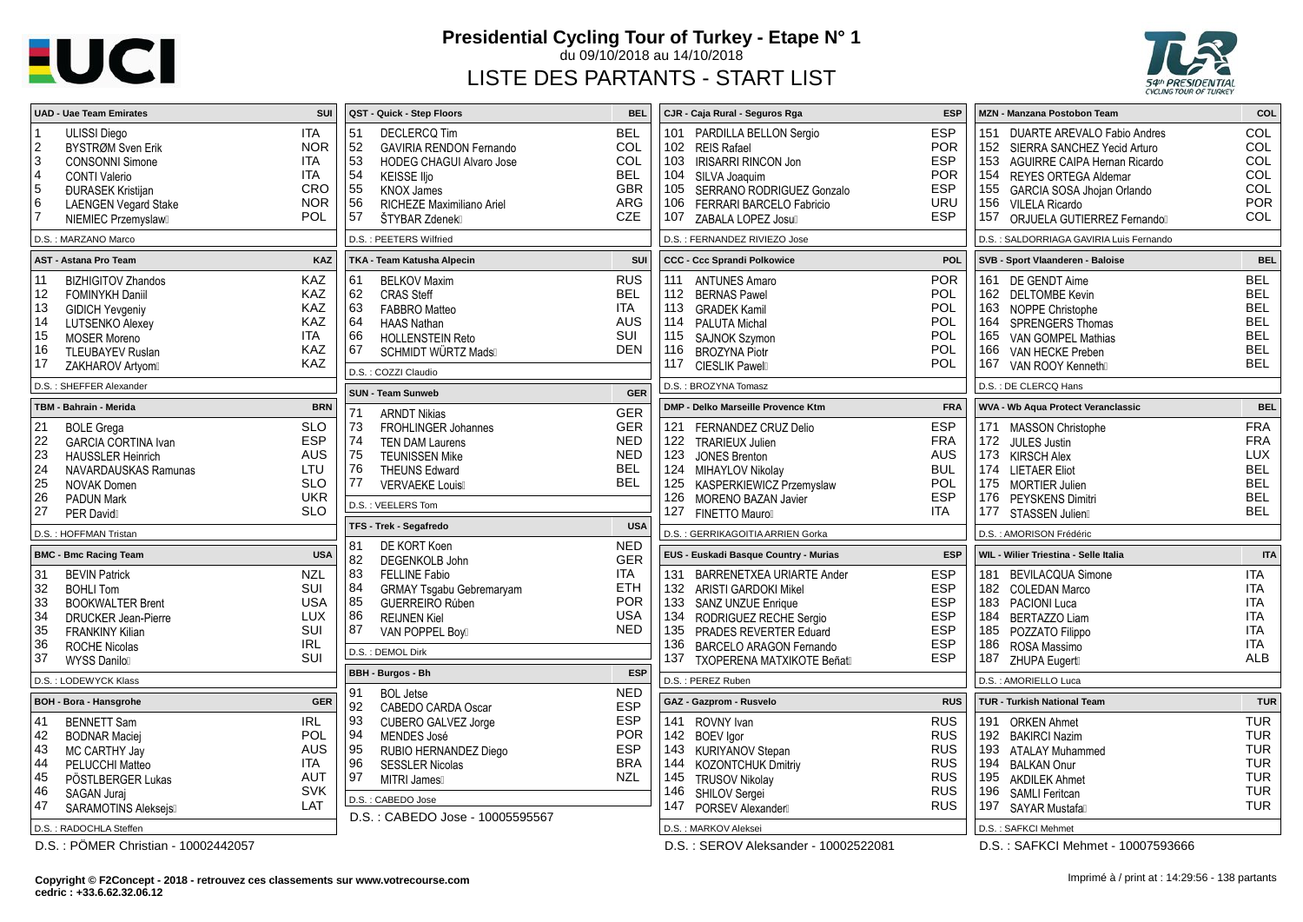# **EUCI**

### **Presidential Cycling Tour of Turkey - Etape N° 1**

du 09/10/2018 au 14/10/2018

## LISTE DES PARTANTS - START LIST



| SUI<br><b>UAD - Uae Team Emirates</b>                                                                                                                                                                                                                                                                                                         | QST - Quick - Step Floors<br><b>BEL</b>                                                                                                                                                                                                                                                            | CJR - Caja Rural - Seguros Rga<br><b>ESP</b>                                                                                                                                                                                                                                                                                   | COL<br><b>MZN - Manzana Postobon Team</b>                                                                                                                                                                                                                                                                                                     |  |
|-----------------------------------------------------------------------------------------------------------------------------------------------------------------------------------------------------------------------------------------------------------------------------------------------------------------------------------------------|----------------------------------------------------------------------------------------------------------------------------------------------------------------------------------------------------------------------------------------------------------------------------------------------------|--------------------------------------------------------------------------------------------------------------------------------------------------------------------------------------------------------------------------------------------------------------------------------------------------------------------------------|-----------------------------------------------------------------------------------------------------------------------------------------------------------------------------------------------------------------------------------------------------------------------------------------------------------------------------------------------|--|
| <b>ITA</b><br><b>ULISSI Diego</b><br>2<br><b>BYSTRØM Sven Erik</b><br>NOR.<br>3<br>ITA<br><b>CONSONNI Simone</b><br><b>ITA</b><br>$\overline{4}$<br><b>CONTI Valerio</b><br>5<br><b>CRO</b><br><b><i><u>DURASEK Kristijan</u></i></b><br>6<br><b>NOR</b><br><b>LAENGEN Vegard Stake</b><br>$\overline{7}$<br><b>POL</b><br>NIEMIEC Przemyslaw | <b>BEL</b><br>51<br><b>DECLERCQ Tim</b><br>COL<br>52<br><b>GAVIRIA RENDON Fernando</b><br>COL<br>53<br><b>HODEG CHAGUI Alvaro Jose</b><br>54<br><b>BEL</b><br><b>KEISSE IIio</b><br>55<br><b>GBR</b><br><b>KNOX James</b><br>56<br>ARG<br>RICHEZE Maximiliano Ariel<br>CZE<br>57<br>ŠTYBAR Zdenekl | <b>ESP</b><br>101 PARDILLA BELLON Sergio<br>102 REIS Rafael<br><b>POR</b><br><b>ESP</b><br>103 IRISARRI RINCON Jon<br><b>POR</b><br>104 SILVA Joaquim<br><b>ESP</b><br>105 SERRANO RODRIGUEZ Gonzalo<br><b>URU</b><br>106 FERRARI BARCELO Fabricio<br><b>ESP</b><br>107 ZABALA LOPEZ Josu                                      | COL<br>151 DUARTE AREVALO Fabio Andres<br><b>COL</b><br>152<br>SIERRA SANCHEZ Yecid Arturo<br><b>COL</b><br>153 AGUIRRE CAIPA Hernan Ricardo<br>COL<br>154<br><b>REYES ORTEGA Aldemar</b><br><b>COL</b><br>155<br>GARCIA SOSA Jhojan Orlando<br><b>POR</b><br>156<br><b>VILELA Ricardo</b><br><b>COL</b><br>157<br>ORJUELA GUTIERREZ Fernando |  |
| D.S.: MARZANO Marco                                                                                                                                                                                                                                                                                                                           | D.S.: PEETERS Wilfried                                                                                                                                                                                                                                                                             | D.S. : FERNANDEZ RIVIEZO Jose                                                                                                                                                                                                                                                                                                  | D.S. : SALDORRIAGA GAVIRIA Luis Fernando                                                                                                                                                                                                                                                                                                      |  |
| <b>AST - Astana Pro Team</b><br>KAZ                                                                                                                                                                                                                                                                                                           | SUI<br>TKA - Team Katusha Alpecin                                                                                                                                                                                                                                                                  | POL<br><b>CCC - Ccc Sprandi Polkowice</b>                                                                                                                                                                                                                                                                                      | <b>BEL</b><br>SVB - Sport Vlaanderen - Baloise                                                                                                                                                                                                                                                                                                |  |
| <b>KAZ</b><br><b>BIZHIGITOV Zhandos</b><br>11<br><b>KAZ</b><br>12 <sup>2</sup><br><b>FOMINYKH Daniil</b><br>KAZ<br>13<br><b>GIDICH Yevgeniy</b><br><b>KAZ</b><br>14<br>LUTSENKO Alexey<br><b>ITA</b><br>15<br><b>MOSER Moreno</b><br><b>KAZ</b><br>16<br><b>TLEUBAYEV Ruslan</b><br><b>KAZ</b><br>17<br>ZAKHAROV Artyom                       | <b>RUS</b><br>61<br><b>BELKOV Maxim</b><br>62<br><b>BEL</b><br><b>CRAS Steff</b><br>  63<br>ITA<br><b>FABBRO</b> Matteo<br>64<br><b>AUS</b><br><b>HAAS Nathan</b><br>66<br>SUI<br><b>HOLLENSTEIN Reto</b><br>67<br><b>DEN</b><br><b>SCHMIDT WÜRTZ Mads</b><br>D.S.: COZZI Claudio                  | <b>POR</b><br>111 ANTUNES Amaro<br><b>POL</b><br>112 BERNAS Pawel<br><b>POL</b><br>113 GRADEK Kamil<br>114 PALUTA Michal<br><b>POL</b><br>115 SAJNOK Szymon<br>POL<br><b>POL</b><br>116 BROZYNA Piotr<br><b>POL</b><br>117 CIESLIK Pawel                                                                                       | <b>BEL</b><br>161 DE GENDT Aime<br><b>BEL</b><br>162 DELTOMBE Kevin<br><b>BEL</b><br>163 NOPPE Christophe<br><b>BEL</b><br>164<br><b>SPRENGERS Thomas</b><br><b>BEL</b><br>165<br>VAN GOMPEL Mathias<br><b>BEL</b><br>166<br>VAN HECKE Preben<br><b>BEL</b><br>167<br>VAN ROOY Kenneth                                                        |  |
| D.S.: SHEFFER Alexander                                                                                                                                                                                                                                                                                                                       | D.S.: BROZYNA Tomasz<br><b>GER</b><br><b>SUN - Team Sunweb</b>                                                                                                                                                                                                                                     |                                                                                                                                                                                                                                                                                                                                | D.S. : DE CLERCQ Hans                                                                                                                                                                                                                                                                                                                         |  |
| TBM - Bahrain - Merida<br><b>BRN</b>                                                                                                                                                                                                                                                                                                          | <b>GER</b><br>71<br><b>ARNDT Nikias</b>                                                                                                                                                                                                                                                            | <b>FRA</b><br>DMP - Delko Marseille Provence Ktm                                                                                                                                                                                                                                                                               | <b>BEL</b><br>WVA - Wb Aqua Protect Veranclassic                                                                                                                                                                                                                                                                                              |  |
| <b>SLO</b><br><b>BOLE Grega</b><br>21<br><b>ESP</b><br>22<br><b>GARCIA CORTINA Ivan</b><br>23<br><b>AUS</b><br><b>HAUSSLER Heinrich</b><br>24<br>LTU<br>NAVARDAUSKAS Ramunas<br><b>SLO</b><br>25<br><b>NOVAK Domen</b><br><b>UKR</b><br>26<br><b>PADUN Mark</b><br>27<br><b>SLO</b><br><b>PER David</b>                                       | 73<br><b>GER</b><br><b>FROHLINGER Johannes</b><br><b>NED</b><br>  74<br><b>TEN DAM Laurens</b><br><b>NED</b><br>  75<br><b>TEUNISSEN Mike</b><br>76<br><b>BEL</b><br><b>THEUNS Edward</b><br><b>BEL</b><br>77<br><b>VERVAEKE Louis</b><br>D.S.: VEELERS Tom                                        | <b>ESP</b><br>121 FERNANDEZ CRUZ Delio<br><b>FRA</b><br>122 TRARIEUX Julien<br><b>AUS</b><br>123 JONES Brenton<br><b>BUL</b><br>124 MIHAYLOV Nikolay<br><b>POL</b><br>125 KASPERKIEWICZ Przemyslaw<br><b>ESP</b><br>126 MORENO BAZAN Javier<br>127<br><b>ITA</b><br><b>FINETTO Mauro</b>                                       | <b>FRA</b><br>171 MASSON Christophe<br><b>FRA</b><br>172<br>JULES Justin<br>LUX<br>173 KIRSCH Alex<br><b>BEL</b><br>174 LIETAER Eliot<br><b>BEL</b><br>175<br><b>MORTIER Julien</b><br><b>BEL</b><br>176<br><b>PEYSKENS Dimitri</b><br><b>BEL</b><br>177<br><b>STASSEN Julien</b>                                                             |  |
| D.S.: HOFFMAN Tristan                                                                                                                                                                                                                                                                                                                         | <b>USA</b><br>TFS - Trek - Segafredo                                                                                                                                                                                                                                                               | D.S.: GERRIKAGOITIA ARRIEN Gorka                                                                                                                                                                                                                                                                                               | D.S. : AMORISON Frédéric                                                                                                                                                                                                                                                                                                                      |  |
| <b>USA</b><br><b>BMC - Bmc Racing Team</b>                                                                                                                                                                                                                                                                                                    | DE KORT Koen<br><b>NED</b><br>81<br><b>GER</b><br>82<br><b>DEGENKOLB John</b>                                                                                                                                                                                                                      | EUS - Euskadi Basque Country - Murias<br><b>ESP</b>                                                                                                                                                                                                                                                                            | <b>ITA</b><br>WIL - Wilier Triestina - Selle Italia                                                                                                                                                                                                                                                                                           |  |
| <b>BEVIN Patrick</b><br><b>NZL</b><br>-31<br>SUI<br>32<br><b>BOHLI Tom</b><br>33<br><b>USA</b><br><b>BOOKWALTER Brent</b><br>34<br><b>LUX</b><br><b>DRUCKER Jean-Pierre</b><br>SUI<br>35<br><b>FRANKINY Kilian</b><br><b>IRL</b><br>36<br><b>ROCHE Nicolas</b><br>SUI<br>37<br><b>WYSS Danilo</b>                                             | <b>ITA</b><br>83<br><b>FELLINE Fabio</b><br>ETH<br>84<br><b>GRMAY Tsgabu Gebremaryam</b><br><b>POR</b><br>85<br>GUERREIRO Rúben<br>86<br><b>USA</b><br><b>REIJNEN Kiel</b><br>87<br><b>NED</b><br>VAN POPPEL Boy<br>D.S.: DEMOL Dirk                                                               | 131 BARRENETXEA URIARTE Ander<br><b>ESP</b><br><b>ESP</b><br>132 ARISTI GARDOKI Mikel<br><b>ESP</b><br>133 SANZ UNZUE Enrique<br><b>ESP</b><br>134 RODRIGUEZ RECHE Sergio<br><b>ESP</b><br>135 PRADES REVERTER Eduard<br><b>ESP</b><br>136<br><b>BARCELO ARAGON Fernando</b><br><b>ESP</b><br>137<br>TXOPERENA MATXIKOTE Beñat | 181 BEVILACQUA Simone<br>ITA<br>182 COLEDAN Marco<br>ITA<br><b>ITA</b><br>183 PACIONI Luca<br><b>ITA</b><br>184<br><b>BERTAZZO Liam</b><br>185<br>ITA<br>POZZATO Filippo<br>ITA<br>186<br>ROSA Massimo<br><b>ALB</b><br>187<br><b>ZHUPA Eugert</b>                                                                                            |  |
| D.S.: LODEWYCK Klass                                                                                                                                                                                                                                                                                                                          | <b>ESP</b><br><b>BBH - Burgos - Bh</b><br>91<br><b>NED</b><br><b>BOL</b> Jetse                                                                                                                                                                                                                     | D.S.: PEREZ Ruben                                                                                                                                                                                                                                                                                                              | D.S.: AMORIELLO Luca                                                                                                                                                                                                                                                                                                                          |  |
| <b>GER</b><br><b>BOH - Bora - Hansgrohe</b>                                                                                                                                                                                                                                                                                                   | <b>ESP</b><br>92<br>CABEDO CARDA Oscar                                                                                                                                                                                                                                                             | GAZ - Gazprom - Rusvelo<br><b>RUS</b>                                                                                                                                                                                                                                                                                          | <b>TUR</b><br><b>TUR - Turkish National Team</b>                                                                                                                                                                                                                                                                                              |  |
| <b>IRL</b><br><b>BENNETT Sam</b><br>41<br><b>POL</b><br>42<br><b>BODNAR Maciei</b><br><b>AUS</b><br>43<br>MC CARTHY Jay<br><b>ITA</b><br>44<br>PELUCCHI Matteo<br>AUT<br>45<br>PÖSTLBERGER Lukas<br><b>SVK</b><br>46<br>SAGAN Juraj<br>47<br>LAT<br><b>SARAMOTINS Alekseis</b><br>D.S.: RADOCHLA Steffen                                      | <b>ESP</b><br>93<br>CUBERO GALVEZ Jorge<br><b>POR</b><br>94<br>MENDES José<br><b>ESP</b><br>  95<br>RUBIO HERNANDEZ Diego<br><b>BRA</b><br>96<br><b>SESSLER Nicolas</b><br>97<br><b>NZL</b><br>MITRI James<br>D.S.: CABEDO Jose<br>D.S.: CABEDO Jose - 10005595567                                 | <b>RUS</b><br>141 ROVNY Ivan<br><b>RUS</b><br>142 BOEV lgor<br>143 KURIYANOV Stepan<br><b>RUS</b><br><b>RUS</b><br>144<br>KOZONTCHUK Dmitriy<br><b>RUS</b><br>145 TRUSOV Nikolay<br><b>RUS</b><br>146 SHILOV Sergei<br><b>RUS</b><br>147<br>PORSEV Alexander<br>D.S.: MARKOV Aleksei                                           | <b>TUR</b><br>191 ORKEN Ahmet<br>TUR<br>192<br><b>BAKIRCI Nazim</b><br><b>TUR</b><br>193 ATALAY Muhammed<br><b>TUR</b><br>194<br><b>BALKAN Onur</b><br><b>TUR</b><br>195<br><b>AKDILEK Ahmet</b><br><b>TUR</b><br>196<br>SAMLI Feritcan<br><b>TUR</b><br>197<br><b>SAYAR Mustafa</b><br>D.S.: SAFKCI Mehmet                                   |  |

D.S. : SEROV Aleksander - 10002522081

D.S. : PÖMER Christian - 10002442057

Imprimé à / print at : 14:29:56 - 138 partants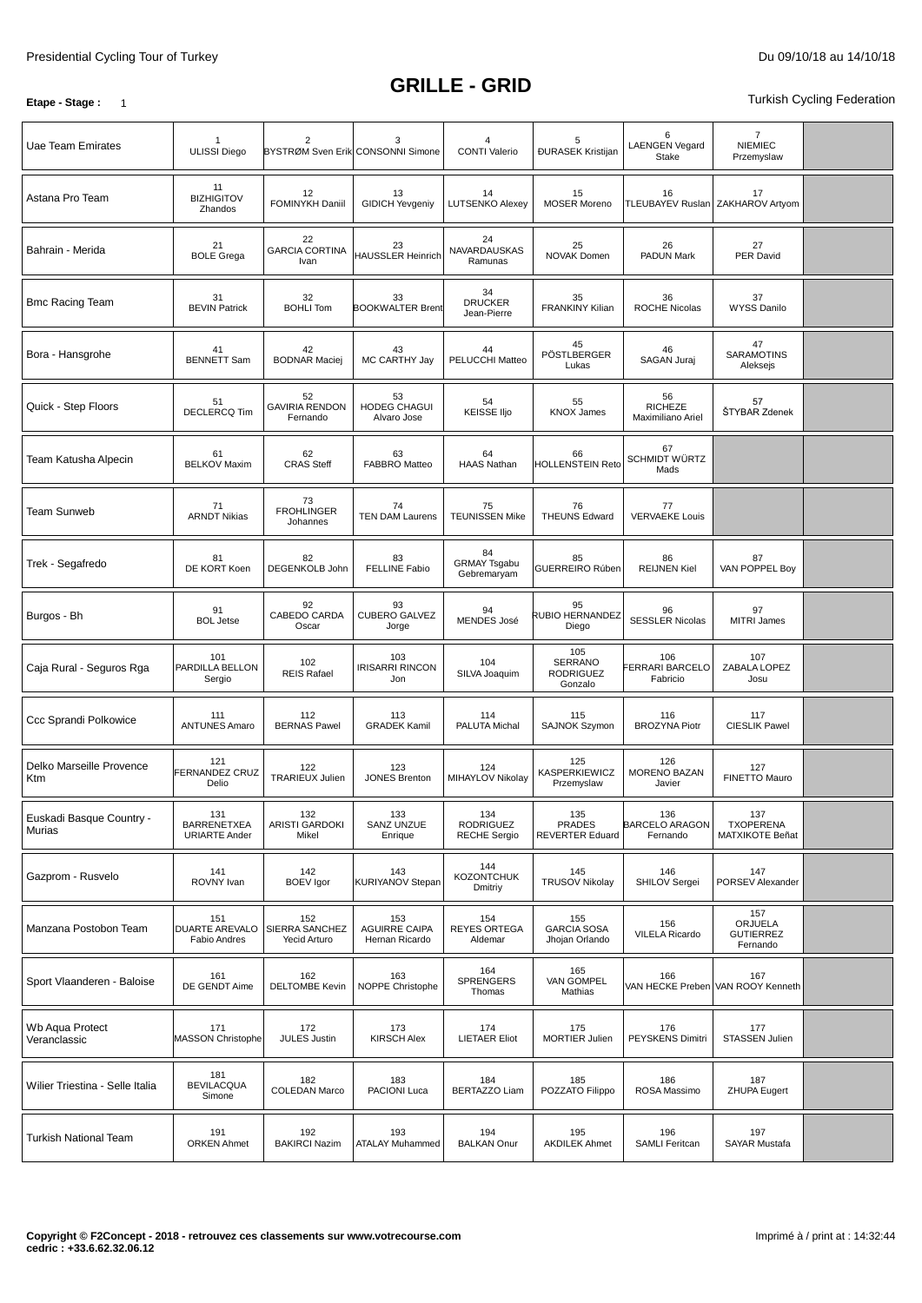#### **GRILLE - GRID**

**Etape - Stage** : 1

| Uae Team Emirates                  | <b>ULISSI Diego</b>                               | 2<br>BYSTRØM Sven Erik CONSONNI Simone  | 3                                             | $\overline{4}$<br><b>CONTI Valerio</b>         | 5<br><b>ĐURASEK Kristijan</b>                  | 6<br><b>LAENGEN Vegard</b><br>Stake       | $\overline{7}$<br><b>NIEMIEC</b><br>Przemyslaw |  |
|------------------------------------|---------------------------------------------------|-----------------------------------------|-----------------------------------------------|------------------------------------------------|------------------------------------------------|-------------------------------------------|------------------------------------------------|--|
| Astana Pro Team                    | 11<br><b>BIZHIGITOV</b><br>Zhandos                | 12<br>FOMINYKH Daniil                   | 13<br><b>GIDICH Yevgeniy</b>                  | 14<br><b>LUTSENKO Alexey</b>                   | 15<br><b>MOSER Moreno</b>                      | 16                                        | 17<br>TLEUBAYEV Ruslan ZAKHAROV Artyom         |  |
| Bahrain - Merida                   | 21<br><b>BOLE Grega</b>                           | 22<br><b>GARCIA CORTINA</b><br>Ivan     | 23<br><b>HAUSSLER Heinrich</b>                | 24<br>NAVARDAUSKAS<br>Ramunas                  | 25<br><b>NOVAK Domen</b>                       | 26<br><b>PADUN Mark</b>                   | 27<br><b>PER David</b>                         |  |
| <b>Bmc Racing Team</b>             | 31<br><b>BEVIN Patrick</b>                        | 32<br><b>BOHLI Tom</b>                  | 33<br><b>BOOKWALTER Brent</b>                 | 34<br><b>DRUCKER</b><br>Jean-Pierre            | 35<br><b>FRANKINY Kilian</b>                   | 36<br><b>ROCHE Nicolas</b>                | 37<br><b>WYSS Danilo</b>                       |  |
| Bora - Hansgrohe                   | 41<br><b>BENNETT Sam</b>                          | 42<br><b>BODNAR Maciej</b>              | 43<br>MC CARTHY Jay                           | 44<br>PELUCCHI Matteo                          | 45<br>PÖSTLBERGER<br>Lukas                     | 46<br>SAGAN Juraj                         | 47<br><b>SARAMOTINS</b><br>Aleksejs            |  |
| Quick - Step Floors                | 51<br><b>DECLERCQ Tim</b>                         | 52<br><b>GAVIRIA RENDON</b><br>Fernando | 53<br>HODEG CHAGUI<br>Alvaro Jose             | 54<br><b>KEISSE IIjo</b>                       | 55<br><b>KNOX James</b>                        | 56<br><b>RICHEZE</b><br>Maximiliano Ariel | 57<br>ŠTYBAR Zdenek                            |  |
| Team Katusha Alpecin               | 61<br><b>BELKOV Maxim</b>                         | 62<br><b>CRAS Steff</b>                 | 63<br><b>FABBRO Matteo</b>                    | 64<br><b>HAAS Nathan</b>                       | 66<br><b>HOLLENSTEIN Reto</b>                  | 67<br>SCHMIDT WÜRTZ<br>Mads               |                                                |  |
| <b>Team Sunweb</b>                 | 71<br><b>ARNDT Nikias</b>                         | 73<br><b>FROHLINGER</b><br>Johannes     | 74<br><b>TEN DAM Laurens</b>                  | 75<br><b>TEUNISSEN Mike</b>                    | 76<br><b>THEUNS Edward</b>                     | 77<br><b>VERVAEKE Louis</b>               |                                                |  |
| Trek - Segafredo                   | 81<br>DE KORT Koen                                | 82<br>DEGENKOLB John                    | 83<br><b>FELLINE Fabio</b>                    | 84<br><b>GRMAY Tsgabu</b><br>Gebremaryam       | 85<br>GUERREIRO Rúben                          | 86<br><b>REIJNEN Kiel</b>                 | 87<br>VAN POPPEL Boy                           |  |
| Burgos - Bh                        | 91<br><b>BOL</b> Jetse                            | 92<br>CABEDO CARDA<br>Oscar             | 93<br><b>CUBERO GALVEZ</b><br>Jorge           | 94<br><b>MENDES José</b>                       | 95<br><b>RUBIO HERNANDEZ</b><br>Diego          | 96<br><b>SESSLER Nicolas</b>              | 97<br><b>MITRI James</b>                       |  |
| Caja Rural - Seguros Rga           | 101<br>PARDILLA BELLON<br>Sergio                  | 102<br><b>REIS Rafael</b>               | 103<br><b>IRISARRI RINCON</b><br>Jon          | 104<br>SILVA Joaquim                           | 105<br>SERRANO<br><b>RODRIGUEZ</b><br>Gonzalo  | 106<br>FERRARI BARCELO<br>Fabricio        | 107<br>ZABALA LOPEZ<br>Josu                    |  |
| Ccc Sprandi Polkowice              | 111<br><b>ANTUNES Amaro</b>                       | 112<br><b>BERNAS Pawel</b>              | 113<br><b>GRADEK Kamil</b>                    | 114<br>PALUTA Michal                           | 115<br><b>SAJNOK Szymon</b>                    | 116<br><b>BROZYNA Piotr</b>               | 117<br><b>CIESLIK Pawel</b>                    |  |
| Delko Marseille Provence<br>Ktm    | 121<br><b>FERNANDEZ CRUZ</b><br>Delio             | 122<br><b>TRARIEUX Julien</b>           | 123<br><b>JONES Brenton</b>                   | 124<br>MIHAYLOV Nikolav                        | 125<br>KASPERKIEWICZ<br>Przemyslaw             | 126<br>MORENO BAZAN<br>Javier             | 127<br>FINETTO Mauro                           |  |
| Euskadi Basque Country -<br>Murias | 131<br><b>BARRENETXEA</b><br><b>URIARTE Ander</b> | 132<br>ARISTI GARDOKI<br>Mikel          | 133<br>SANZ UNZUE<br>Enrique                  | 134<br><b>RODRIGUEZ</b><br><b>RECHE Sergio</b> | 135<br><b>PRADES</b><br><b>REVERTER Eduard</b> | 136<br><b>BARCELO ARAGON</b><br>Fernando  | 137<br><b>TXOPERENA</b><br>MATXIKOTE Beñat     |  |
| Gazprom - Rusvelo                  | 141<br>ROVNY Ivan                                 | 142<br><b>BOEV</b> Igor                 | 143<br>KURIYANOV Stepan                       | 144<br><b>KOZONTCHUK</b><br>Dmitriy            | 145<br><b>TRUSOV Nikolay</b>                   | 146<br>SHILOV Sergei                      | 147<br>PORSEV Alexander                        |  |
| Manzana Postobon Team              | 151<br>DUARTE AREVALO<br><b>Fabio Andres</b>      | 152<br>SIERRA SANCHEZ<br>Yecid Arturo   | 153<br><b>AGUIRRE CAIPA</b><br>Hernan Ricardo | 154<br><b>REYES ORTEGA</b><br>Aldemar          | 155<br><b>GARCIA SOSA</b><br>Jhojan Orlando    | 156<br><b>VILELA Ricardo</b>              | 157<br>ORJUELA<br><b>GUTIERREZ</b><br>Fernando |  |
| Sport Vlaanderen - Baloise         | 161<br>DE GENDT Aime                              | 162<br><b>DELTOMBE Kevin</b>            | 163<br>NOPPE Christophe                       | 164<br>SPRENGERS<br>Thomas                     | 165<br>VAN GOMPEL<br>Mathias                   | 166                                       | 167<br>VAN HECKE Preben VAN ROOY Kenneth       |  |
| Wb Aqua Protect<br>Veranclassic    | 171<br><b>MASSON Christophe</b>                   | 172<br><b>JULES Justin</b>              | 173<br><b>KIRSCH Alex</b>                     | 174<br><b>LIETAER Eliot</b>                    | 175<br>MORTIER Julien                          | 176<br>PEYSKENS Dimitri                   | 177<br>STASSEN Julien                          |  |
| Wilier Triestina - Selle Italia    | 181<br><b>BEVILACQUA</b><br>Simone                | 182<br><b>COLEDAN Marco</b>             | 183<br>PACIONI Luca                           | 184<br><b>BERTAZZO Liam</b>                    | 185<br>POZZATO Filippo                         | 186<br>ROSA Massimo                       | 187<br><b>ZHUPA Eugert</b>                     |  |
| <b>Turkish National Team</b>       | 191<br><b>ORKEN Ahmet</b>                         | 192<br><b>BAKIRCI Nazim</b>             | 193<br><b>ATALAY Muhammed</b>                 | 194<br><b>BALKAN Onur</b>                      | 195<br><b>AKDILEK Ahmet</b>                    | 196<br><b>SAMLI Feritcan</b>              | 197<br>SAYAR Mustafa                           |  |